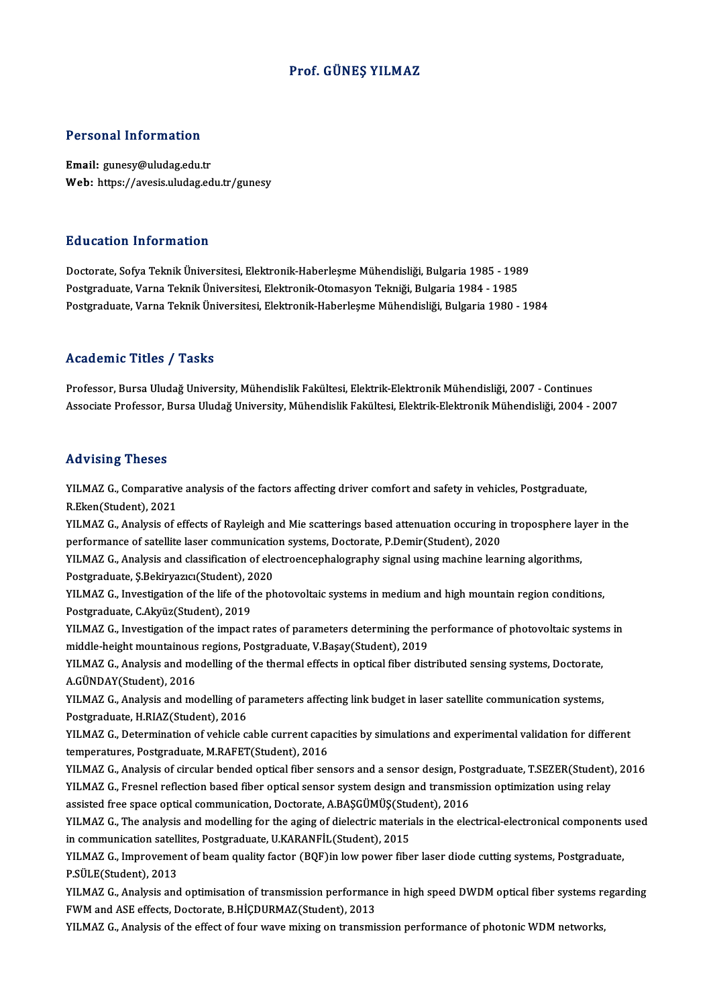### Prof. GÜNEŞ YILMAZ

### Personal Information

Email: gunesy@uludag.edu.tr Web: https://avesis.uludag.edu.tr/gunesy

### Education Information

<mark>Education Information</mark><br>Doctorate, Sofya Teknik Üniversitesi, Elektronik-Haberleşme Mühendisliği, Bulgaria 1985 - 1989<br>Postsraduate Varna Teknik Üniversitesi, Elektronik Otomasyon Tekniği, Bulgaria 1994, 1995 Pu u sutrom minor inutrom<br>Doctorate, Sofya Teknik Üniversitesi, Elektronik-Haberleşme Mühendisliği, Bulgaria 1985 - 198<br>Postgraduate, Varna Teknik Üniversitesi, Elektronik-Otomasyon Tekniği, Bulgaria 1984 - 1985<br>Postgradua Postgraduate, Varna Teknik Üniversitesi, Elektronik-Otomasyon Tekniği, Bulgaria 1984 - 1985<br>Postgraduate, Varna Teknik Üniversitesi, Elektronik-Haberleşme Mühendisliği, Bulgaria 1980 - 1984

### Academic Titles / Tasks

Professor, Bursa Uludağ University, Mühendislik Fakültesi, Elektrik-Elektronik Mühendisliği, 2007 - Continues Associate Professor, Bursa Uludağ University, Mühendislik Fakültesi, Elektrik-Elektronik Mühendisliği, 2004 - 2007

### Advising Theses

Advising Theses<br>YILMAZ G., Comparative analysis of the factors affecting driver comfort and safety in vehicles, Postgraduate,<br>R.Fkon(Student), 2021 read correspondent<br>TILMAZ G., Comparative<br>R.Eken(Student), 2021<br>VILMAZ G., Analysis of a YILMAZ G., Comparative analysis of the factors affecting driver comfort and safety in vehicles, Postgraduate,<br>R.Eken(Student), 2021<br>YILMAZ G., Analysis of effects of Rayleigh and Mie scatterings based attenuation occuring

R.Eken(Student), 2021<br>YILMAZ G., Analysis of effects of Rayleigh and Mie scatterings based attenuation occuring in<br>performance of satellite laser communication systems, Doctorate, P.Demir(Student), 2020<br>YU MAZ G. Analysis YILMAZ G., Analysis of effects of Rayleigh and Mie scatterings based attenuation occuring in troposphere la<br>performance of satellite laser communication systems, Doctorate, P.Demir(Student), 2020<br>YILMAZ G., Analysis and cl

performance of satellite laser communication<br>YILMAZ G., Analysis and classification of ele<br>Postgraduate, Ş.Bekiryazıcı(Student), 2020<br>YU MAZ G. Investigation of the life of the nh YILMAZ G., Analysis and classification of electroencephalography signal using machine learning algorithms,<br>Postgraduate, Ş.Bekiryazıcı(Student), 2020<br>YILMAZ G., Investigation of the life of the photovoltaic systems in medi

Postgraduate, Ş.Bekiryazıcı(Student), 2<br>YILMAZ G., Investigation of the life of the<br>Postgraduate, C.Akyüz(Student), 2019<br>YU MAZ G. Investigation of the impact YILMAZ G., Investigation of the life of the photovoltaic systems in medium and high mountain region conditions,<br>Postgraduate, C.Akyüz(Student), 2019<br>YILMAZ G., Investigation of the impact rates of parameters determining th

Postgraduate, C.Akyüz(Student), 2019<br>YILMAZ G., Investigation of the impact rates of parameters determining the<br>middle-height mountainous regions, Postgraduate, V.Başay(Student), 2019<br>YU MAZ G. Analygis and modelling of th YILMAZ G., Investigation of the impact rates of parameters determining the performance of photovoltaic systems in middle-height mountainous regions, Postgraduate, V.Başay(Student), 2019<br>YILMAZ G., Analysis and modelling of

middle-height mountainous<br>YILMAZ G., Analysis and mo<br>A.GÜNDAY(Student), 2016<br>YU MAZ C. Analysis and mo YILMAZ G., Analysis and modelling of the thermal effects in optical fiber distributed sensing systems, Doctorate,<br>A.GÜNDAY(Student), 2016<br>YILMAZ G., Analysis and modelling of parameters affecting link budget in laser satel

A.GÜNDAY(Student), 2016<br>YILMAZ G., Analysis and modelling of <br>Postgraduate, H.RIAZ(Student), 2016<br>YU MAZ G. Determination of vehicle a YILMAZ G., Analysis and modelling of parameters affecting link budget in laser satellite communication systems,<br>Postgraduate, H.RIAZ(Student), 2016<br>YILMAZ G., Determination of vehicle cable current capacities by simulation

Postgraduate, H.RIAZ(Student), 2016<br>YILMAZ G., Determination of vehicle cable current capacities by simulations and experimental validation for different<br>temperatures, Postgraduate, M.RAFET(Student), 2016 YILMAZ G., Determination of vehicle cable current capacities by simulations and experimental validation for different<br>temperatures, Postgraduate, M.RAFET(Student), 2016<br>YILMAZ G., Analysis of circular bended optical fiber

temperatures, Postgraduate, M.RAFET(Student), 2016<br>YILMAZ G., Analysis of circular bended optical fiber sensors and a sensor design, Postgraduate, T.SEZER(Student)<br>YILMAZ G., Fresnel reflection based fiber optical sensor s YILMAZ G., Analysis of circular bended optical fiber sensors and a sensor design, Po.<br>YILMAZ G., Fresnel reflection based fiber optical sensor system design and transmis.<br>assisted free space optical communication, Doctorat YILMAZ G., Fresnel reflection based fiber optical sensor system design and transmission optimization using relay<br>assisted free space optical communication, Doctorate, A.BAŞGÜMÜŞ(Student), 2016<br>YILMAZ G., The analysis and m

assisted free space optical communication, Doctorate, A.BAŞGÜMÜŞ(Student), 2016<br>YILMAZ G., The analysis and modelling for the aging of dielectric materials in the electrical-electronical components used<br>in communication sa YILMAZ G., The analysis and modelling for the aging of dielectric materials in the electrical-electronical components<br>in communication satellites, Postgraduate, U.KARANFİL(Student), 2015<br>YILMAZ G., Improvement of beam qual

in communication satell<br>YILMAZ G., Improvemer<br>P.SÜLE(Student), 2013<br>YILMAZ G., Analysis and YILMAZ G., Improvement of beam quality factor (BQF)in low power fiber laser diode cutting systems, Postgraduate,<br>P.SÜLE(Student), 2013<br>YILMAZ G., Analysis and optimisation of transmission performance in high speed DWDM opt

P.SÜLE(Student), 2013<br>YILMAZ G., Analysis and optimisation of transmission performan<br>FWM and ASE effects, Doctorate, B.HİÇDURMAZ(Student), 2013<br>YU MAZ G., Analysis of the effect of four wave miving on transmis YILMAZ G., Analysis and optimisation of transmission performance in high speed DWDM optical fiber systems re<br>FWM and ASE effects, Doctorate, B.HİÇDURMAZ(Student), 2013<br>YILMAZ G., Analysis of the effect of four wave mixing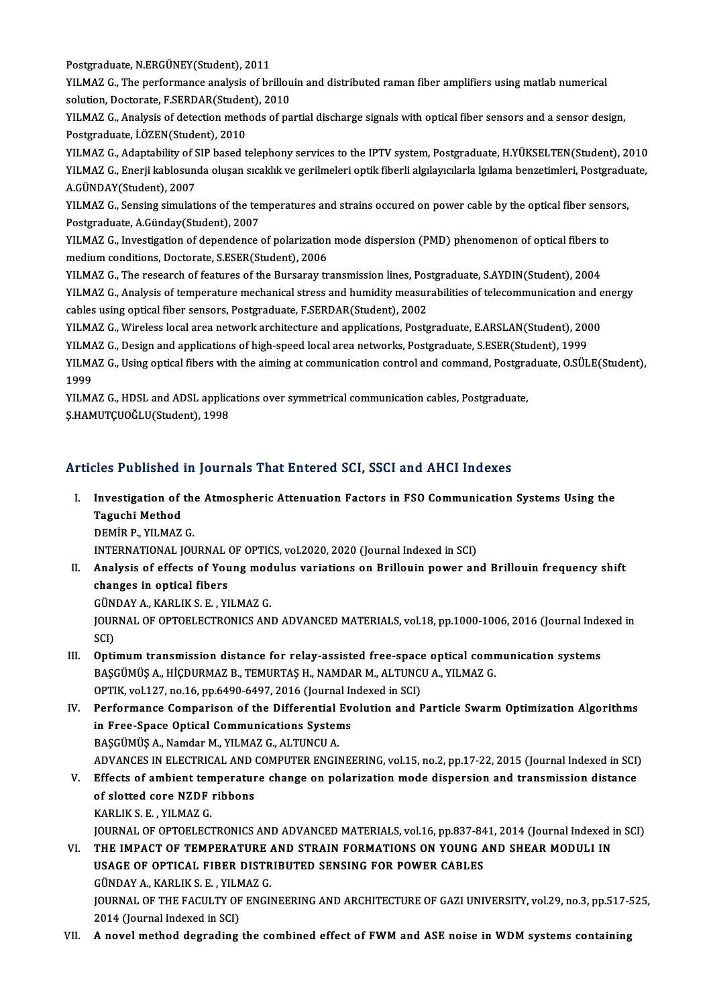Postgraduate, N.ERGÜNEY(Student), 2011

Postgraduate, N.ERGÜNEY(Student), 2011<br>YILMAZ G., The performance analysis of brillouin and distributed raman fiber amplifiers using matlab numerical<br>Solution, Desterste, E.SEPDAP(Student), 2010 Postgraduate, N.ERGÜNEY(Student), 2011<br>YILMAZ G., The performance analysis of brillou<br>solution, Doctorate, F.SERDAR(Student), 2010<br>YU MAZ C. Analysis of detection methods of no YILMAZ G., The performance analysis of brillouin and distributed raman fiber amplifiers using matlab numerical<br>solution, Doctorate, F.SERDAR(Student), 2010<br>YILMAZ G., Analysis of detection methods of partial discharge sign

solution, Doctorate, F.SERDAR(Studen<br>YILMAZ G., Analysis of detection meth<br>Postgraduate, İ.ÖZEN(Student), 2010<br>YU MAZ G., Adaptability of SIP based t

Postgraduate, İ.ÖZEN(Student), 2010<br>YILMAZ G., Adaptability of SIP based telephony services to the IPTV system, Postgraduate, H.YÜKSELTEN(Student), 2010 Postgraduate, İ.ÖZEN(Student), 2010<br>YILMAZ G., Adaptability of SIP based telephony services to the IPTV system, Postgraduate, H.YÜKSELTEN(Student), 2010<br>YILMAZ G., Enerji kablosunda oluşan sıcaklık ve gerilmeleri optik fib YILMAZ G., Adaptability of S<br>YILMAZ G., Enerji kablosun<br>A.GÜNDAY(Student), 2007<br>YU MAZ C. Sonsing simulati YILMAZ G., Enerji kablosunda oluşan sıcaklık ve gerilmeleri optik fiberli algılayıcılarla lgılama benzetimleri, Postgradu<br>A.GÜNDAY(Student), 2007<br>YILMAZ G., Sensing simulations of the temperatures and strains occured on po

A.GÜNDAY(Student), 2007<br>YILMAZ G., Sensing simulations of the temperatures and strains occured on power cable by the optical fiber sensors,<br>Postgraduate, A.Günday(Student), 2007 YILMAZ G., Sensing simulations of the temperatures and strains occured on power cable by the optical fiber sense<br>Postgraduate, A.Günday(Student), 2007<br>YILMAZ G., Investigation of dependence of polarization mode dispersion

Postgraduate, A.Günday(Student), 2007<br>YILMAZ G., Investigation of dependence of polarization<br>medium conditions, Doctorate, S.ESER(Student), 2006<br>YU MAZ G. The research of fostures of the Burserey tr YILMAZ G., Investigation of dependence of polarization mode dispersion (PMD) phenomenon of optical fibers t<br>medium conditions, Doctorate, S.ESER(Student), 2006<br>YILMAZ G., The research of features of the Bursaray transmissi

medium conditions, Doctorate, S.ESER(Student), 2006<br>YILMAZ G., The research of features of the Bursaray transmission lines, Postgraduate, S.AYDIN(Student), 2004<br>YILMAZ G., Analysis of temperature mechanical stress and humi YILMAZ G., The research of features of the Bursaray transmission lines, Pos<br>YILMAZ G., Analysis of temperature mechanical stress and humidity measur<br>cables using optical fiber sensors, Postgraduate, F.SERDAR(Student), 2002 YILMAZ G., Analysis of temperature mechanical stress and humidity measurabilities of telecommunication and e<br>cables using optical fiber sensors, Postgraduate, F.SERDAR(Student), 2002<br>YILMAZ G., Wireless local area network

cables using optical fiber sensors, Postgraduate, F.SERDAR(Student), 2002<br>YILMAZ G., Wireless local area network architecture and applications, Postgraduate, E.ARSLAN(Student), 2000

YILMAZ G., Design and applications of high-speed local area networks, Postgraduate, S.ESER(Student), 1999

YILMAZ G., Using optical fibers with the aiming at communication control and command, Postgraduate, O.SÜLE(Student),<br>1999 YILMAZ G., Using optical fibers with the aiming at communication control and command, Postgra<br>1999<br>YILMAZ G., HDSL and ADSL applications over symmetrical communication cables, Postgraduate,<br>S.HAMITCUQČLU(Student), 1999

1999<br>YILMAZ G., HDSL and ADSL applic:<br>Ş.HAMUTÇUOĞLU(Student), 1998

# Articles Published in Journals That Entered SCI, SSCI and AHCI Indexes

rticles Published in Journals That Entered SCI, SSCI and AHCI Indexes<br>I. Investigation of the Atmospheric Attenuation Factors in FSO Communication Systems Using the<br>Tagushi Method Taguchi<br>Investigation of<br>Taguchi Method<br>DEMIP P. VII MAZ Investigation of the<br>Taguchi Method<br>DEMİR P., YILMAZ G.<br>INTERNATIONAL IOU Taguchi Method<br>DEMİR P., YILMAZ G.<br>INTERNATIONAL JOURNAL OF OPTICS, vol.2020, 2020 (Journal Indexed in SCI)

DEMİR P., YILMAZ G.<br>INTERNATIONAL JOURNAL OF OPTICS, vol.2020, 2020 (Journal Indexed in SCI)<br>II. Analysis of effects of Young modulus variations on Brillouin power and Brillouin frequency shift<br> INTERNATIONAL JOURNAL<br>Analysis of effects of You<br>changes in optical fibers<br>CÜNDAYA KABLIKS E - VI Analysis of effects of Young mod<br>changes in optical fibers<br>GÜNDAY A., KARLIK S. E. , YILMAZ G.<br>JOUPNAL OF OPTOFL ECTRONICS AND

changes in optical fibers<br>GÜNDAY A., KARLIK S. E. , YILMAZ G.<br>JOURNAL OF OPTOELECTRONICS AND ADVANCED MATERIALS, vol.18, pp.1000-1006, 2016 (Journal Indexed in<br>SCD GÜN<br>JOUR<br>SCI)<br>Onti I I. JOURNAL OF OPTOELECTRONICS AND ADVANCED MATERIALS, vol.18, pp.1000-1006, 2016 (Journal Inde<br>SCI)<br>III. Optimum transmission distance for relay-assisted free-space optical communication systems<br>BASCUMUS A. HIGDUPMAZ B.

- SCI)<br>Optimum transmission distance for relay-assisted free-space optical comr<br>BAŞGÜMÜŞ A., HİÇDURMAZ B., TEMURTAŞ H., NAMDAR M., ALTUNCU A., YILMAZ G.<br>OPTIK vel127, na 16. np.6490,6497,2016 (Journal Indoved in SCI) Optimum transmission distance for relay-assisted free-space<br>BAŞGÜMÜŞ A., HİÇDURMAZ B., TEMURTAŞ H., NAMDAR M., ALTUNCI<br>OPTIK, vol.127, no.16, pp.6490-6497, 2016 (Journal Indexed in SCI)<br>Performance Comparison of the Differ BAŞGÜMÜŞ A., HİÇDURMAZ B., TEMURTAŞ H., NAMDAR M., ALTUNCU A., YILMAZ G.<br>OPTIK, vol.127, no.16, pp.6490-6497, 2016 (Journal Indexed in SCI)<br>IV. Performance Comparison of the Differential Evolution and Particle Swarm Op
- OPTIK, vol.127, no.16, pp.6490-6497, 2016 (Journal In<br>Performance Comparison of the Differential Event Free-Space Optical Communications Systems Performance Comparison of the Differential<br>in Free-Space Optical Communications System<br>BAŞGÜMÜŞ A., Namdar M., YILMAZ G., ALTUNCU A.<br>ADVANCES IN ELECTRICAL AND COMBUTER ENCU BAŞGÜMÜŞ A., Namdar M., YILMAZ G., ALTUNCU A.<br>ADVANCES IN ELECTRICAL AND COMPUTER ENGINEERING, vol.15, no.2, pp.17-22, 2015 (Journal Indexed in SCI) BAŞGÜMÜŞ A., Namdar M., YILMAZ G., ALTUNCU A.<br>ADVANCES IN ELECTRICAL AND COMPUTER ENGINEERING, vol.15, no.2, pp.17-22, 2015 (Journal Indexed in SCI)<br>V. Effects of ambient temperature change on polarization mode dispersion
- ADVANCES IN ELECTRICAL AND (<br>Effects of ambient temperatur<br>of slotted core NZDF ribbons<br>KARLIKS E VILMAZ C Effects of ambient ten<br>of slotted core NZDF<br>KARLIK S.E. , YILMAZ G.<br>JOUPNAL OF OPTOFLECT of slotted core NZDF ribbons<br>KARLIK S. E. , YILMAZ G.<br>JOURNAL OF OPTOELECTRONICS AND ADVANCED MATERIALS, vol.16, pp.837-841, 2014 (Journal Indexed in SCI)<br>THE IMPACT OF TEMPERATURE AND STRAIN FORMATIONS ON YOUNG AND SHEAR KARLIK S. E. , YILMAZ G.<br>JOURNAL OF OPTOELECTRONICS AND ADVANCED MATERIALS, vol.16, pp.837-841, 2014 (Journal Indexed i<br>VI. THE IMPACT OF TEMPERATURE AND STRAIN FORMATIONS ON YOUNG AND SHEAR MODULI IN
- JOURNAL OF OPTOELECTRONICS AND ADVANCED MATERIALS, vol.16, pp.837-84<br>THE IMPACT OF TEMPERATURE AND STRAIN FORMATIONS ON YOUNG A<br>USAGE OF OPTICAL FIBER DISTRIBUTED SENSING FOR POWER CABLES<br>CÜNDAYA KABLIKS E. VU MAZ C VI. THE IMPACT OF TEMPERATURE AND STRAIN FORMATIONS ON YOUNG AND SHEAR MODULI IN USAGE OF OPTICAL FIBER DISTRIBUTED SENSING FOR POWER CABLES<br>GÜNDAY A., KARLIK S. E. , YILMAZ G. USAGE OF OPTICAL FIBER DISTRIBUTED SENSING FOR POWER CABLES<br>GÜNDAY A., KARLIK S. E. , YILMAZ G.<br>JOURNAL OF THE FACULTY OF ENGINEERING AND ARCHITECTURE OF GAZI UNIVERSITY, vol.29, no.3, pp.517-525,<br>2014 (Journal Indoved in GÜNDAY A., KARLIK S. E. , YILM<br>JOURNAL OF THE FACULTY OF<br>2014 (Journal Indexed in SCI) JOURNAL OF THE FACULTY OF ENGINEERING AND ARCHITECTURE OF GAZI UNIVERSITY, vol.29, no.3, pp.517-5<br>2014 (Journal Indexed in SCI)<br>VII. A novel method degrading the combined effect of FWM and ASE noise in WDM systems cont
-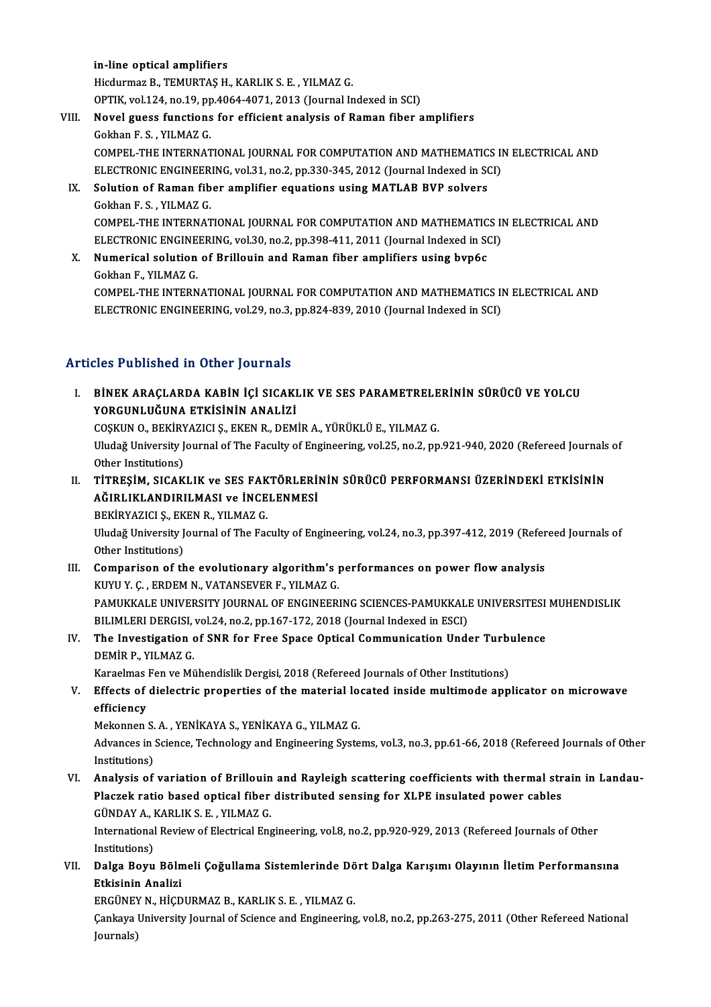### in-line optical amplifiers

Hicdurmaz B., TEMURTAŞ H., KARLIK S. E., YILMAZ G. OPTIK,vol.124,no.19,pp.4064-4071,2013 (Journal Indexed inSCI) Hicdurmaz B., TEMURTAȘ H., KARLIK S. E. , YILMAZ G.<br>OPTIK, vol.124, no.19, pp.4064-4071, 2013 (Journal Indexed in SCI)<br>VIII. Novel guess functions for efficient analysis of Raman fiber amplifiers<br>Colthan E. S., VILMAZ C. OPTIK, vol.124, no.19, pp<br>Novel guess functions<br>Gokhan F. S. , YILMAZ G.<br>COMPEL THE INTERNAT

Gokhan F. S. , YILMAZ G.<br>COMPEL-THE INTERNATIONAL JOURNAL FOR COMPUTATION AND MATHEMATICS IN ELECTRICAL AND Gokhan F. S. , YILMAZ G.<br>COMPEL-THE INTERNATIONAL JOURNAL FOR COMPUTATION AND MATHEMATICS II<br>ELECTRONIC ENGINEERING, vol.31, no.2, pp.330-345, 2012 (Journal Indexed in SCI)<br>Solution of Baman fiber amplifier aquations using

- IX. Solution of Raman fiber amplifier equations using MATLAB BVP solvers Gokhan F.S., YILMAZ G. ELECTRONIC ENGINEER<br>Solution of Raman fib<br>Gokhan F. S. , YILMAZ G.<br>COMBEL THE INTERNAT Solution of Raman fiber amplifier equations using MATLAB BVP solvers<br>Gokhan F. S. , YILMAZ G.<br>COMPEL-THE INTERNATIONAL JOURNAL FOR COMPUTATION AND MATHEMATICS IN ELECTRICAL AND<br>ELECTRONIC ENCINEERING vol 30, no 3, np 399, Gokhan F. S. , YILMAZ G.<br>COMPEL-THE INTERNATIONAL JOURNAL FOR COMPUTATION AND MATHEMATICS II<br>ELECTRONIC ENGINEERING, vol.30, no.2, pp.398-411, 2011 (Journal Indexed in SCI)<br>Numerisel selution of Brillouin and Baman fiber a ELECTRONIC ENGINEERING, vol.30, no.2, pp.398-411, 2011 (Journal Indexed in SCI)
- X. Numerical solution of Brillouin and Raman fiber amplifiers using bvp6c Gokhan F., YILMAZ G. Numerical solution of Brillouin and Raman fiber amplifiers using bvp6c<br>Gokhan F., YILMAZ G.<br>COMPEL-THE INTERNATIONAL JOURNAL FOR COMPUTATION AND MATHEMATICS IN ELECTRICAL AND<br>ELECTRONIC ENCINEERING vol 29 no 2 nn 924 929 2 Gokhan F., YILMAZ G.<br>COMPEL-THE INTERNATIONAL JOURNAL FOR COMPUTATION AND MATHEMATICS II<br>ELECTRONIC ENGINEERING, vol.29, no.3, pp.824-839, 2010 (Journal Indexed in SCI) ELECTRONIC ENGINEERING, vol.29, no.3, pp.824-839, 2010 (Journal Indexed in SCI)<br>Articles Published in Other Journals

I. BİNEK ARAÇLARDA KABİN İÇİ SICAKLIK VE SES PARAMETRELERİNİN SÜRÜCÜ VE YOLCU YORGUNLUĞUNA ETKİSİNİN ANALİZİ BİNEK ARAÇLARDA KABİN İÇİ SICAKLIK VE SES PARAMETRELE<br>YORGUNLUĞUNA ETKİSİNİN ANALİZİ<br>COŞKUN O., BEKİRYAZICI Ş., EKEN R., DEMİR A., YÜRÜKLÜ E., YILMAZ G.<br>Uludağ University Journal of The Faculty of Engineering, yol 25, no.2

Uludağ University Journal of The Faculty of Engineering, vol.25, no.2, pp.921-940, 2020 (Refereed Journals of<br>Other Institutions) COȘKUN O., BEKİRY<br>Uludağ University J<br>Other Institutions)<br>TİTBESİM SICAK Uludağ University Journal of The Faculty of Engineering, vol.25, no.2, pp.921-940, 2020 (Refereed Journals<br>Other Institutions)<br>II. TİTREŞİM, SICAKLIK ve SES FAKTÖRLERİNİN SÜRÜCÜ PERFORMANSI ÜZERİNDEKİ ETKİSİNİN<br>Ağıplıkland

Other Institutions)<br>TİTREŞİM, SICAKLIK ve SES FAKTÖRLERİ<br>AĞIRLIKLANDIRILMASI ve İNCELENMESİ<br>PEKİRVAZICI S. EKEN P. VILMAZ C TİTREŞİM, SICAKLIK ve SES FAK<br>AĞIRLIKLANDIRILMASI ve İNCE<br>BEKİRYAZICI Ş., EKEN R., YILMAZ G.<br>Uludağ University Journal of The Fac AĞIRLIKLANDIRILMASI ve İNCELENMESİ<br>BEKİRYAZICI Ş., EKEN R., YILMAZ G.<br>Uludağ University Journal of The Faculty of Engineering, vol.24, no.3, pp.397-412, 2019 (Refereed Journals of<br>Other Institutions) BEKİRYAZICI Ş., EKEN R., YILMAZ G.

Uludağ University Journal of The Faculty of Engineering, vol.24, no.3, pp.397-412, 2019 (Refer<br>Other Institutions)<br>III. Comparison of the evolutionary algorithm's performances on power flow analysis<br>KINILY C. ERDEM N. VATA Other Institutions)<br>Comparison of the evolutionary algorithm's <sub>1</sub><br>KUYU Y. Ç. , ERDEM N., VATANSEVER F., YILMAZ G.<br>PAMUKKALE UNIVERSITY JOURNAL OF ENGINEER) Comparison of the evolutionary algorithm's performances on power flow analysis<br>KUYU Y. Ç. , ERDEM N., VATANSEVER F., YILMAZ G.<br>PAMUKKALE UNIVERSITY JOURNAL OF ENGINEERING SCIENCES-PAMUKKALE UNIVERSITESI MUHENDISLIK<br>PILIMI KUYU Y. Ç. , ERDEM N., VATANSEVER F., YILMAZ G.<br>PAMUKKALE UNIVERSITY JOURNAL OF ENGINEERING SCIENCES-PAMUKKALI<br>BILIMLERI DERGISI, vol.24, no.2, pp.167-172, 2018 (Journal Indexed in ESCI)<br>The Investigation of SNR for Enge S PAMUKKALE UNIVERSITY JOURNAL OF ENGINEERING SCIENCES-PAMUKKALE UNIVERSITESI<br>BILIMLERI DERGISI, vol.24, no.2, pp.167-172, 2018 (Journal Indexed in ESCI)<br>IV. The Investigation of SNR for Free Space Optical Communication Unde

# BILIMLERI DERGISI, vol.24, no.2, pp.167-172, 2018 (Journal Indexed in ESCI)<br>The Investigation of SNR for Free Space Optical Communication Under Turb<br>DEMİR P., YILMAZ G.<br>Karaelmas Fen ve Mühendislik Dergisi, 2018 (Refereed The Investigation of SNR for Free Space Optical Communication Under Turb<br>DEMİR P., YILMAZ G.<br>Karaelmas Fen ve Mühendislik Dergisi, 2018 (Refereed Journals of Other Institutions)<br>Fffects of dialectric proporties of the mate

DEMIR P., YILMAZ G.<br>Karaelmas Fen ve Mühendislik Dergisi, 2018 (Refereed Journals of Other Institutions)<br>V. Effects of dielectric properties of the material located inside multimode applicator on microwave<br>officionav Karaelmas<br>Effects of<br>efficiency<br>Mekennen Effects of dielectric properties of the material location<br>efficiency<br>Mekonnen S.A., YENİKAYA S., YENİKAYA G., YILMAZ G.<br>Advances in Science Technology and Engineering Syste

Mekonnen S. A., YENİKAYA S., YENİKAYA G., YILMAZ G.

efficiency<br>Mekonnen S. A. , YENİKAYA S., YENİKAYA G., YILMAZ G.<br>Advances in Science, Technology and Engineering Systems, vol.3, no.3, pp.61-66, 2018 (Refereed Journals of Other<br>Institutions) Advances in Science, Technology and Engineering Systems, vol.3, no.3, pp.61-66, 2018 (Refereed Journals of Other<br>Institutions)<br>VI. Analysis of variation of Brillouin and Rayleigh scattering coefficients with thermal strain

Institutions)<br>Analysis of variation of Brillouin and Rayleigh scattering coefficients with thermal str<br>Placzek ratio based optical fiber distributed sensing for XLPE insulated power cables<br>CÜNDAYA, KARLIKS E. VILMAZ C Analysis of variation of Brillouin<br>Placzek ratio based optical fiber<br>GÜNDAY A., KARLIK S. E. , YILMAZ G.<br>International Beview of Flectrical Enc Placzek ratio based optical fiber distributed sensing for XLPE insulated power cables<br>GÜNDAY A., KARLIK S. E. , YILMAZ G.<br>International Review of Electrical Engineering, vol.8, no.2, pp.920-929, 2013 (Refereed Journals of

GÜNDAY A., I<br>International<br>Institutions)<br>Dalga Boyu International Review of Electrical Engineering, vol.8, no.2, pp.920-929, 2013 (Refereed Journals of Other<br>Institutions)<br>VII. Dalga Boyu Bölmeli Çoğullama Sistemlerinde Dört Dalga Karışımı Olayının İletim Performansına<br>

Institutions)<br>Dalga Boyu Böln<br>Etkisinin Analizi<br>EPCÜNEV N. HİCD Dalga Boyu Bölmeli Çoğullama Sistemlerinde Dö<br>Etkisinin Analizi<br>ERGÜNEY N., HİÇDURMAZ B., KARLIK S. E. , YILMAZ G.<br>Carlava University Journal of Science and Engineering

ERGÜNEY N., HİCDURMAZ B., KARLIK S. E., YILMAZ G.

Etkisinin Analizi<br>ERGÜNEY N., HİÇDURMAZ B., KARLIK S. E. , YILMAZ G.<br>Çankaya University Journal of Science and Engineering, vol.8, no.2, pp.263-275, 2011 (Other Refereed National<br>Journals)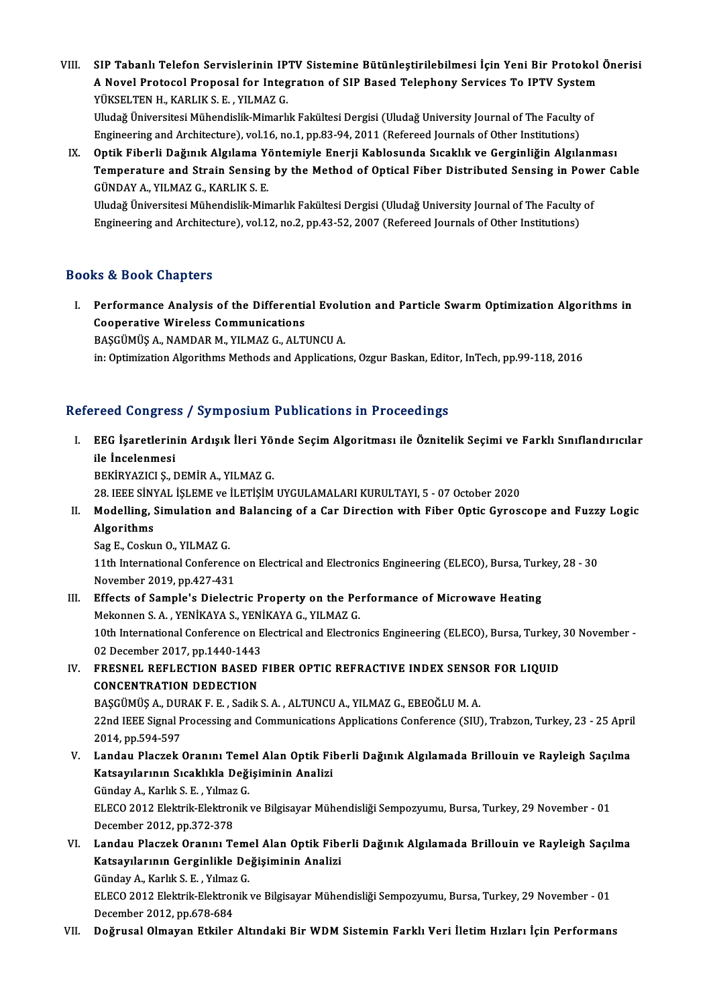VIII.<br>1994 - VIII. SIP Tabanlı Telefon Servislerinin IPTV Sistemine Bütünleştirilebilmesi İçin Yeni Bir Protokol Önerisi<br>1995-ci ildə Anatogal Proposol for Integration of SIP Based Telephony Servises Te IPTV System SIP Tabanlı Telefon Servislerinin IPTV Sistemine Bütünleştirilebilmesi İçin Yeni Bir Protokol<br>A Novel Protocol Proposal for Integratıon of SIP Based Telephony Services To IPTV System<br>VÜKSELTEN H. KARLIK S. E. YU MAZ C SIP Tabanlı Telefon Servislerinin IP<br>A Novel Protocol Proposal for Integ<br>YÜKSELTEN H., KARLIK S. E. , YILMAZ G.<br>Uludağ Üniversitesi Mühandislik Mimarlı A Novel Protocol Proposal for Integration of SIP Based Telephony Services To IPTV System<br>YÜKSELTEN H., KARLIK S. E. , YILMAZ G.<br>Uludağ Üniversitesi Mühendislik-Mimarlık Fakültesi Dergisi (Uludağ University Journal of The F YÜKSELTEN H., KARLIK S. E. , YILMAZ G.<br>Uludağ Üniversitesi Mühendislik-Mimarlık Fakültesi Dergisi (Uludağ University Journal of The Faculty<br>Engineering and Architecture), vol.16, no.1, pp.83-94, 2011 (Refereed Journals of

Engineering and Architecture), vol.16, no.1, pp.83-94, 2011 (Refereed Journals of Other Institutions)<br>IX. Optik Fiberli Dağınık Algılanma Yöntemiyle Enerji Kablosunda Sıcaklık ve Gerginliğin Algılanması

Engineering and Architecture), vol.16, no.1, pp.83-94, 2011 (Refereed Journals of Other Institutions)<br>Optik Fiberli Dağınık Algılama Yöntemiyle Enerji Kablosunda Sıcaklık ve Gerginliğin Algılanması<br>Temperature and Strain S Optik Fiberli Dağınık Algılama Y<br>Temperature and Strain Sensing<br>GÜNDAY A., YILMAZ G., KARLIK S. E.<br>Uludağ Üniversitesi Mühandislik Min Temperature and Strain Sensing by the Method of Optical Fiber Distributed Sensing in Power<br>GÜNDAY A., YILMAZ G., KARLIK S. E.<br>Uludağ Üniversitesi Mühendislik-Mimarlık Fakültesi Dergisi (Uludağ University Journal of The Fac

GÜNDAY A., YILMAZ G., KARLIK S. E.<br>Uludağ Üniversitesi Mühendislik-Mimarlık Fakültesi Dergisi (Uludağ University Journal of The Faculty of<br>Engineering and Architecture), vol.12, no.2, pp.43-52, 2007 (Refereed Journals of O

### Books&Book Chapters

ooks & Book Chapters<br>I. Performance Analysis of the Differential Evolution and Particle Swarm Optimization Algorithms in<br>Connective Wineless Communisations Communications<br>Performance Analysis of the Differentia<br>Cooperative Wireless Communications<br>RASCÜMÜS A. NAMDAR M. VU MAZ C. ALTI Cooperative Wireless Communications<br>BAŞGÜMÜŞ A., NAMDAR M., YILMAZ G., ALTUNCU A.

in: Optimization Algorithms Methods and Applications, Ozgur Baskan, Editor, InTech, pp.99-118, 2016

### Refereed Congress / Symposium Publications in Proceedings

efereed Congress / Symposium Publications in Proceedings<br>I. EEG İşaretlerinin Ardışık İleri Yönde Seçim Algoritması ile Öznitelik Seçimi ve Farklı Sınıflandırıcılar<br>ile İngelenmesi reed dengree<br>EEG İşaretlerin<br>ile İncelenmesi<br>PEKİDYAZICI ST ile İncelenmesi<br>BEKİRYAZICI Ş., DEMİR A., YILMAZ G.

28. IEEESİNYAL İŞLEMEve İLETİŞİMUYGULAMALARIKURULTAYI,5 -07October 2020

## BEKİRYAZICI Ş., DEMİR A., YILMAZ G.<br>28. IEEE SİNYAL İŞLEME ve İLETİŞİM UYGULAMALARI KURULTAYI, 5 - 07 October 2020<br>II. Modelling, Simulation and Balancing of a Car Direction with Fiber Optic Gyroscope and Fuzzy Logic<br>A 28. IEEE SINY<br>Modelling, S<br>Algorithms<br>See E. Coslu Modelling, Simulation and<br>Algorithms<br>Sag E., Coskun O., YILMAZ G.<br>11th International Conferen

Algorithms<br>Sag E., Coskun O., YILMAZ G.<br>11th International Conference on Electrical and Electronics Engineering (ELECO), Bursa, Turkey, 28 - 30 November 2019, pp.427-431

III. Effects of Sample's Dielectric Property on the Performance of Microwave Heating Mekonnen S.A., YENİKAYA S., YENİKAYA G., YILMAZ G. Effects of Sample's Dielectric Property on the Performance of Microwave Heating<br>Mekonnen S. A. , YENİKAYA S., YENİKAYA G., YILMAZ G.<br>10th International Conference on Electrical and Electronics Engineering (ELECO), Bursa, T Mekonnen S. A. , YENİKAYA S., YENİ<br>10th International Conference on E<br>02 December 2017, pp.1440-1443<br>ERESNEL REELECTION RASEN I 10th International Conference on Electrical and Electronics Engineering (ELECO), Bursa, Turkey,<br>02 December 2017, pp.1440-1443<br>IV. FRESNEL REFLECTION BASED FIBER OPTIC REFRACTIVE INDEX SENSOR FOR LIQUID

# 02 December 2017, pp.1440-1443<br>FRESNEL REFLECTION BASED<br>CONCENTRATION DEDECTION<br>PASCUMUS A DURAKEE SASUS FRESNEL REFLECTION BASED FIBER OPTIC REFRACTIVE INDEX SENSO<br>CONCENTRATION DEDECTION<br>BAŞGÜMÜŞ A., DURAK F. E. , Sadik S. A. , ALTUNCU A., YILMAZ G., EBEOĞLU M. A.<br>22nd IEEE Signal Processing and Communisations Annlisations

CONCENTRATION DEDECTION<br>BAŞGÜMÜŞ A., DURAK F. E. , Sadik S. A. , ALTUNCU A., YILMAZ G., EBEOĞLU M. A.<br>22nd IEEE Signal Processing and Communications Applications Conference (SIU), Trabzon, Turkey, 23 - 25 April<br>2014, pp.59 BAŞGÜMÜŞ A., DURAK F. E., Sadik S. A., ALTUNCU A., YILMAZ G., EBEOĞLU M. A. 22nd IEEE Signal Processing and Communications Applications Conference (SIU), Trabzon, Turkey, 23 - 25 Apri<br>2014, pp.594-597<br>V. Landau Placzek Oranını Temel Alan Optik Fiberli Dağınık Algılamada Brillouin ve Rayleigh Saçıl

2014, pp.594-597<br>Landau Placzek Oranını Temel Alan Optik Fil<br>Katsayılarının Sıcaklıkla Değişiminin Analizi<br>Gündav A. Karlık S. E. Yılmaz C Landau Placzek Oranını Teme<br>Katsayılarının Sıcaklıkla Deği<br>Günday A., Karlık S. E. , Yılmaz G.<br>ELECO 2012 Elektrik Elektronik

Katsayılarının Sıcaklıkla Değişiminin Analizi<br>Günday A., Karlık S. E. , Yılmaz G.<br>ELECO 2012 Elektrik-Elektronik ve Bilgisayar Mühendisliği Sempozyumu, Bursa, Turkey, 29 November - 01<br>December 2012, pp.372-378 Günday A., Karlık S. E., Yılmaz G. ELECO 2012 Elektrik-Elektronik ve Bilgisayar Mühendisliği Sempozyumu, Bursa, Turkey, 29 November - 01<br>December 2012, pp.372-378<br>VI. Landau Placzek Oranını Temel Alan Optik Fiberli Dağınık Algılamada Brillouin ve Raylei

December 2012, pp.372-378<br>Landau Placzek Oranını Temel Alan Optik Fibe<br>Katsayılarının Gerginlikle Değişiminin Analizi<br>Günday A. Karlık S. E. Yılmaz C Landau Placzek Oranını Teme<br>Katsayılarının Gerginlikle De<br>Günday A., Karlık S. E. , Yılmaz G.<br>ELECO 2012 Elektrik Elektronik

Katsayılarının Gerginlikle Değişiminin Analizi<br>Günday A., Karlık S. E. , Yılmaz G.<br>ELECO 2012 Elektrik-Elektronik ve Bilgisayar Mühendisliği Sempozyumu, Bursa, Turkey, 29 November - 01<br>Desember 2012 an 678,684 Günday A., Karlık S. E. , Yılmaz<br>ELECO 2012 Elektrik-Elektror<br>December 2012, pp.678-684<br>Değrusal Olmayan Etkiler

### December 2012, pp.678-684<br>VII. Doğrusal Olmayan Etkiler Altındaki Bir WDM Sistemin Farklı Veri İletim Hızları İçin Performans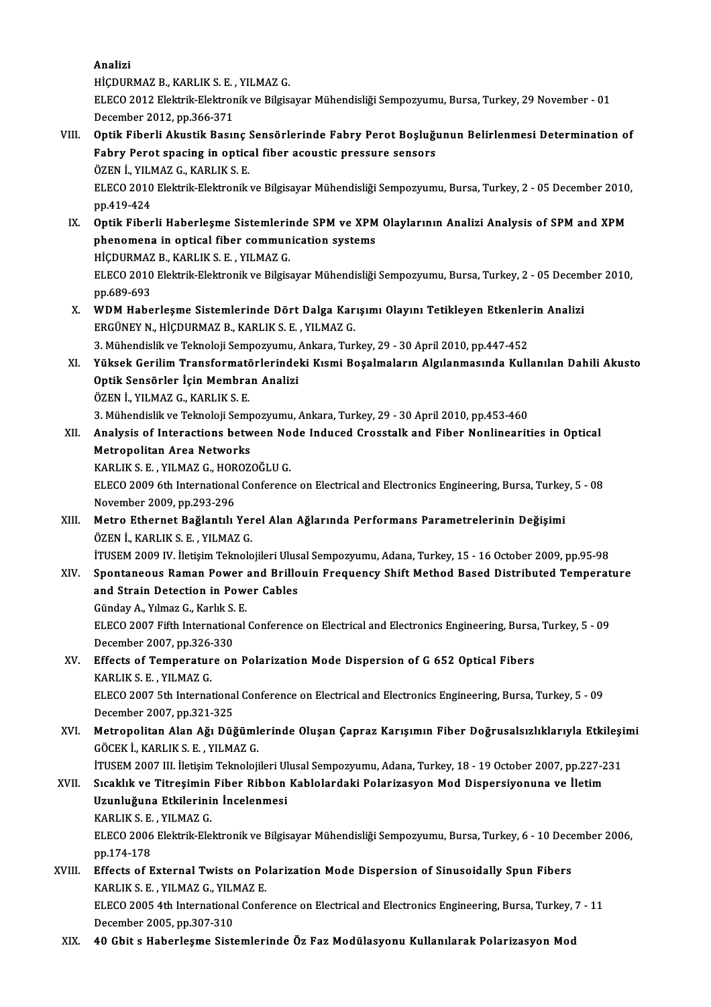Analizi

pp.689-693

HİÇDURMAZB.,KARLIKS.E. ,YILMAZG.

ELECO 2012 Elektrik-Elektronik ve Bilgisayar Mühendisliği Sempozyumu, Bursa, Turkey, 29 November - 01 December 2012, pp.366-371 ELECO 2012 Elektrik-Elektronik ve Bilgisayar Mühendisliği Sempozyumu, Bursa, Turkey, 29 November - 01<br>December 2012, pp.366-371<br>VIII. Optik Fiberli Akustik Basınç Sensörlerinde Fabry Perot Boşluğunun Belirlenmesi Deter

- December 2012, pp.366-371<br>Optik Fiberli Akustik Basınç Sensörlerinde Fabry Perot Boşluğı<br>Fabry Perot spacing in optical fiber acoustic pressure sensors<br>ÖZEN İ. YU MAZ C. KARLIK S. F Optik Fiberli Akustik Basınç !<br>Fabry Perot spacing in optic:<br>ÖZEN İ., YILMAZ G., KARLIK S. E.<br>ELECO 2010 Elektrik Elektronik Fabry Perot spacing in optical fiber acoustic pressure sensors<br>ÖZEN İ., YILMAZ G., KARLIK S. E.<br>ELECO 2010 Elektrik-Elektronik ve Bilgisayar Mühendisliği Sempozyumu, Bursa, Turkey, 2 - 05 December 2010,<br>pp.419-424 ÖZEN İ., YILMAZ G., KARLIK S. E. ELECO 2010 Elektrik-Elektronik ve Bilgisayar Mühendisliği Sempozyumu, Bursa, Turkey, 2 - 05 December 2010<br>pp.419-424<br>IX. Optik Fiberli Haberleşme Sistemlerinde SPM ve XPM Olaylarının Analizi Analysis of SPM and XPM
- pp.419-424<br>Optik Fiberli Haberleşme Sistemlerinde SPM ve XPM<br>phenomena in optical fiber communication systems<br>HiCDUPMAZ B, KARLIK S, E , VU MAZ C Optik Fiberli Haberleşme Sistemleri<br>phenomena in optical fiber commun<br>HİÇDURMAZ B., KARLIK S. E. , YILMAZ G.<br>ELECO 2010 Elektrik Flektronik ve Bilgist phenomena in optical fiber communication systems<br>HİÇDURMAZ B., KARLIK S. E. , YILMAZ G.<br>ELECO 2010 Elektrik-Elektronik ve Bilgisayar Mühendisliği Sempozyumu, Bursa, Turkey, 2 - 05 December 2010,
- ELECO 2010 Elektrik-Elektronik ve Bilgisayar Mühendisliği Sempozyumu, Bursa, Turkey, 2 05 Decem<br>pp.689-693<br>X. WDM Haberleşme Sistemlerinde Dört Dalga Karışımı Olayını Tetikleyen Etkenlerin Analizi<br>ERCÜNEY N. HİCDURMAZ B. ERGÜNEY N., HİÇDURMAZ B., KARLIK S. E., YILMAZ G. WDM Haberleşme Sistemlerinde Dört Dalga Karışımı Olayını Tetikleyen Etkenler<br>ERGÜNEY N., HİÇDURMAZ B., KARLIK S. E. , YILMAZ G.<br>3. Mühendislik ve Teknoloji Sempozyumu, Ankara, Turkey, 29 - 30 April 2010, pp.447-452<br>Yüksek

3. Mühendislik ve Teknoloji Sempozyumu, Ankara, Turkey, 29 - 30 April 2010, pp.447-452

XI. Yüksek Gerilim Transformatörlerindeki Kısmi Boşalmaların Algılanmasında Kullanılan Dahili Akusto<br>Optik Sensörler İçin Membran Analizi ÖZENİ.,YILMAZG.,KARLIKS.E. 0ptik Sensörler İçin Membran Analizi<br>ÖZEN İ., YILMAZ G., KARLIK S. E.<br>3. Mühendislik ve Teknoloji Sempozyumu, Ankara, Turkey, 29 - 30 April 2010, pp.453-460<br>Analysis of Interactions between Node Indused Crosstall: and Eibe

ÖZEN İ., YILMAZ G., KARLIK S. E.<br>3. Mühendislik ve Teknoloji Sempozyumu, Ankara, Turkey, 29 - 30 April 2010, pp.453-460<br>XII. Analysis of Interactions between Node Induced Crosstalk and Fiber Nonlinearities in Optical<br>M 3. Mühendislik ve Teknoloji Semp<br>Analysis of Interactions betworks<br>Metropolitan Area Networks<br>KARLIK S. E. VILMAZ G. HOROZ Analysis of Interactions between No<br>Metropolitan Area Networks<br>KARLIK S. E. , YILMAZ G., HOROZOĞLU G.<br>ELECO 2009 6th International Conferenc Metropolitan Area Networks<br>KARLIK S. E. , YILMAZ G., HOROZOĞLU G.<br>ELECO 2009 6th International Conference on Electrical and Electronics Engineering, Bursa, Turkey, 5 - 08<br>Nevember 2009, pp.292.296

KARLIK S. E. , YILMAZ G., HOR<br>ELECO 2009 6th International<br>November 2009, pp.293-296<br>Metro, Ethernet Beğlentik ELECO 2009 6th International Conference on Electrical and Electronics Engineering, Bursa, Turkey<br>November 2009, pp.293-296<br>XIII. Metro Ethernet Bağlantılı Yerel Alan Ağlarında Performans Parametrelerinin Değişimi<br>ÖZEN İ. K

November 2009, pp.293-296<br>XIII. Metro Ethernet Bağlantılı Yerel Alan Ağlarında Performans Parametrelerinin Değişimi<br>ÖZEN İ., KARLIK S. E. , YILMAZ G. Metro Ethernet Bağlantılı Yerel Alan Ağlarında Performans Parametrelerinin Değişimi<br>ÖZEN İ., KARLIK S. E. , YILMAZ G.<br>İTUSEM 2009 IV. İletişim Teknolojileri Ulusal Sempozyumu, Adana, Turkey, 15 - 16 October 2009, pp.95-98<br>

ÖZEN İ., KARLIK S. E. , YILMAZ G.<br>İTUSEM 2009 IV. İletişim Teknolojileri Ulusal Sempozyumu, Adana, Turkey, 15 - 16 October 2009, pp.95-98<br>XIV. Spontaneous Raman Power and Brillouin Frequency Shift Method Based Distribu iTUSEM 2009 IV. İletişim Teknolojileri Ulus<br>Spontaneous Raman Power and Brillo<br>and Strain Detection in Power Cables<br>Cünday A. Yılmaz C. Karlık S. E Spontaneous Raman Power<br>and Strain Detection in Power<br>Günday A., Yılmaz G., Karlık S. E.<br>ELECO 2007 Eifth International

and Strain Detection in Power Cables<br>Günday A., Yılmaz G., Karlık S. E.<br>ELECO 2007 Fifth International Conference on Electrical and Electronics Engineering, Bursa, Turkey, 5 - 09<br>Desember 3007 pp 326 330 Günday A., Yılmaz G., Karlık S.<br>ELECO 2007 Fifth Internation<br>December 2007, pp.326-330<br>Effects of Temporature on ELECO 2007 Fifth International Conference on Electrical and Electronics Engineering, Bursa<br>December 2007, pp.326-330<br>XV. Effects of Temperature on Polarization Mode Dispersion of G 652 Optical Fibers<br>KABLIK S. E. VILMAZ G

December 2007, pp.326-<br>Effects of Temperatur<br>KARLIK S. E. , YILMAZ G.<br>ELECO 2007 Eth Internat KARLIK S. E. , YILMAZ G.<br>ELECO 2007 5th International Conference on Electrical and Electronics Engineering, Bursa, Turkey, 5 - 09

December 2007,pp.321-325 ELECO 2007 5th International Conference on Electrical and Electronics Engineering, Bursa, Turkey, 5 - 09<br>December 2007, pp.321-325<br>XVI. Metropolitan Alan Ağı Düğümlerinde Oluşan Çapraz Karışımın Fiber Doğrusalsızlıklarıyla

December 2007, pp.321-325<br>Metropolitan Alan Ağı Düğüml<br>GÖCEK İ., KARLIK S. E. , YILMAZ G.<br>İTUSEM 2007 III. İletisim Telmaleji Metropolitan Alan Ağı Düğümlerinde Oluşan Çapraz Karışımın Fiber Doğrusalsızlıklarıyla Etkileşi<br>GÖCEK İ., KARLIK S. E. , YILMAZ G.<br>İTUSEM 2007 III. İletişim Teknolojileri Ulusal Sempozyumu, Adana, Turkey, 18 - 19 October 2

GÖCEK İ., KARLIK S. E. , YILMAZ G.<br>17USEM 2007 III. İletişim Teknolojileri Ulusal Sempozyumu, Adana, Turkey, 18 - 19 October 2007, pp.227-2<br>17YII. Sıcaklık ve Titreşimin Fiber Ribbon Kablolardaki Polarizasyon Mod Dispe İTUSEM 2007 III. İletişim Teknolojileri Ul<br>Sıcaklık ve Titreşimin Fiber Ribbon<br>Uzunluğuna Etkilerinin İncelenmesi<br>KABLIK S.E. YILMAZ C Sıcaklık ve Titreşimin Fiber Ribbon Kablolardaki Polarizasyon Mod Dispersiyonuna ve İletim<br>Uzunluğuna Etkilerinin İncelenmesi<br>KARLIK S. E. , YILMAZ G.

ELECO 2006 Elektrik-Elektronik ve Bilgisayar Mühendisliği Sempozyumu, Bursa, Turkey, 6 - 10 December 2006, pp.174-178 ELECO 2006 Elektrik-Elektronik ve Bilgisayar Mühendisliği Sempozyumu, Bursa, Turkey, 6 - 10 Dece<br>pp.174-178<br>XVIII. Effects of External Twists on Polarization Mode Dispersion of Sinusoidally Spun Fibers<br>MARIJUS E - VILMAZ C

pp.174-178<br>Effects of External Twists on Po<br>KARLIK S. E. , YILMAZ G., YILMAZ E.<br>ELECO 2005 4th International Confo Effects of External Twists on Polarization Mode Dispersion of Sinusoidally Spun Fibers<br>KARLIK S. E. , YILMAZ G., YILMAZ E.<br>ELECO 2005 4th International Conference on Electrical and Electronics Engineering, Bursa, Turkey, 7 KARLIK S. E. , YILMAZ G., YILMAZ E.<br>ELECO 2005 4th International Conference on Electrical and Electronics Engineering, Bursa, Turkey, 7 - 11<br>December 2005, pp.307-310

XIX. 40 Gbit s Haberleşme Sistemlerinde Öz Faz Modülasyonu Kullanılarak Polarizasyon Mod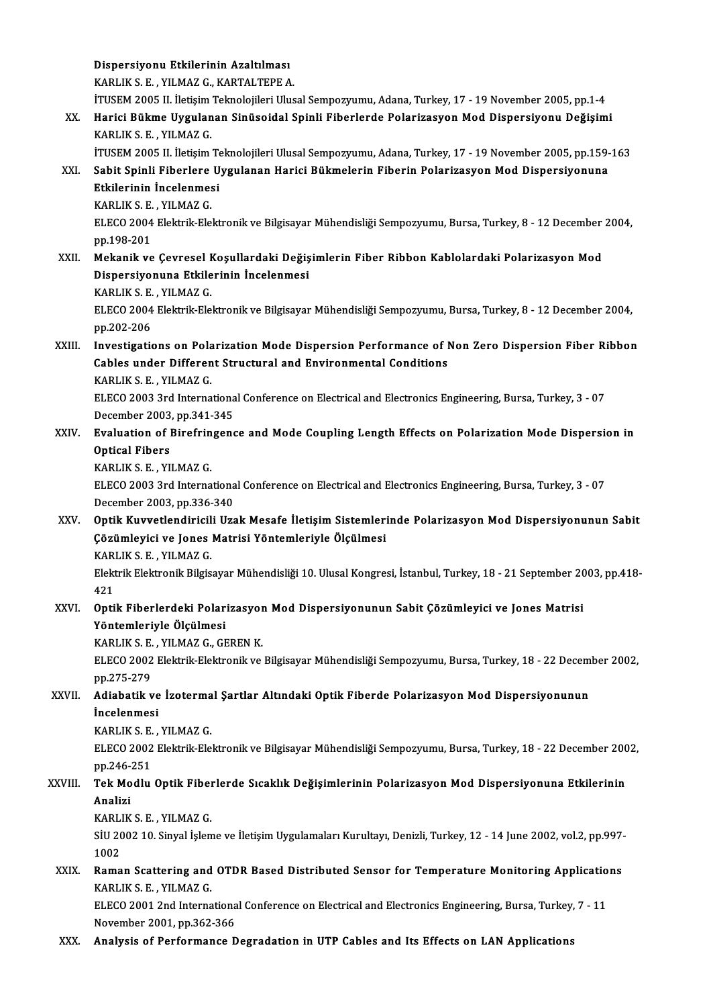Dispersiyonu Etkilerinin Azaltılması Dispersiyonu Etkilerinin Azaltılması<br>KARLIK S. E. , YILMAZ G., KARTALTEPE A.<br>İTUSEM 2005 II. İletisim Telmelejileri Ulus KARLIK S. E. , YILMAZ G., KARTALTEPE A.<br>İTUSEM 2005 II. İletişim Teknolojileri Ulusal Sempozyumu, Adana, Turkey, 17 - 19 November 2005, pp.1-4 KARLIK S. E. , YILMAZ G., KARTALTEPE A.<br>17 ITUSEM 2005 II. İletişim Teknolojileri Ulusal Sempozyumu, Adana, Turkey, 17 - 19 November 2005, pp.1-4<br>18 K. – Harici Bükme Uygulanan Sinüsoidal Spinli Fiberlerde Polarizasyon Mod İTUSEM 2005 II. İletişim<br>Harici Bükme Uygulan<br>KARLIK S. E. , YILMAZ G.<br>İTUSEM 2005 II. İletisim Harici Bükme Uygulanan Sinüsoidal Spinli Fiberlerde Polarizasyon Mod Dispersiyonu Değişimi<br>KARLIK S. E. , YILMAZ G.<br>İTUSEM 2005 II. İletişim Teknolojileri Ulusal Sempozyumu, Adana, Turkey, 17 - 19 November 2005, pp.159-163 KARLIK S. E. , YILMAZ G.<br>17 TUSEM 2005 II. İletişim Teknolojileri Ulusal Sempozyumu, Adana, Turkey, 17 - 19 November 2005, pp.159<br>17 XXI. Sabit Spinli Fiberlere Uygulanan Harici Bükmelerin Fiberin Polarizasyon Mod Disp İTUSEM 2005 II. İletişim Te<br>Sabit Spinli Fiberlere U<br>Etkilerinin İncelenmesi<br>KARLIKS E - VILMAZ C Sabit Spinli Fiberlere<br>Etkilerinin İncelenmes<br>KARLIK S. E. , YILMAZ G.<br>ELECO 2004 Elektrik Ele Etkilerinin İncelenmesi<br>KARLIK S. E. , YILMAZ G.<br>ELECO 2004 Elektrik-Elektronik ve Bilgisayar Mühendisliği Sempozyumu, Bursa, Turkey, 8 - 12 December 2004,<br>nn 198 201 KARLIK S. E.<br>ELECO 2004<br>pp.198-201<br>Mekanik ve ELECO 2004 Elektrik-Elektronik ve Bilgisayar Mühendisliği Sempozyumu, Bursa, Turkey, 8 - 12 December<br>pp.198-201<br>XXII. Mekanik ve Çevresel Koşullardaki Değişimlerin Fiber Ribbon Kablolardaki Polarizasyon Mod<br>Disporsiyonuna pp.198-201<br>Mekanik ve Çevresel Koşullardaki Değiş<br>Dispersiyonuna Etkilerinin İncelenmesi<br>KARLIK S.E. YUMAZ C Mekanik ve Çevresel F<br>Dispersiyonuna Etkile<br>KARLIK S. E. , YILMAZ G.<br>ELECO 2004 Elektrik Ele KARLIK S. E. , YILMAZ G.<br>ELECO 2004 Elektrik-Elektronik ve Bilgisayar Mühendisliği Sempozyumu, Bursa, Turkey, 8 - 12 December 2004, pp.202-206 ELECO 2004 Elektrik-Elektronik ve Bilgisayar Mühendisliği Sempozyumu, Bursa, Turkey, 8 - 12 December 2004,<br>pp.202-206<br>XXIII. Investigations on Polarization Mode Dispersion Performance of Non Zero Dispersion Fiber Ribbon pp.202-206<br>Investigations on Polarization Mode Dispersion Performance of I<br>Cables under Different Structural and Environmental Conditions<br>KARLIKS E. VILMAZ C Investigations on Pola<br>Cables under Differen<br>KARLIK S. E. , YILMAZ G.<br>ELECO 2002 2rd Interna Cables under Different Structural and Environmental Conditions<br>KARLIK S. E. , YILMAZ G.<br>ELECO 2003 3rd International Conference on Electrical and Electronics Engineering, Bursa, Turkey, 3 - 07<br>Desember 2003, pp.341, 345 KARLIK S. E. , YILMAZ G.<br>ELECO 2003 3rd Internationa<br>December 2003, pp.341-345<br>Evaluation of Birofringene ELECO 2003 3rd International Conference on Electrical and Electronics Engineering, Bursa, Turkey, 3 - 07<br>December 2003, pp.341-345<br>XXIV. Evaluation of Birefringence and Mode Coupling Length Effects on Polarization Mode Dis December 2003<br>Evaluation of J<br>Optical Fibers<br>KARLIKS F. VI Evaluation of Birefrin<br>Optical Fibers<br>KARLIK S. E. , YILMAZ G.<br>ELECO 2002 2rd Interna Optical Fibers<br>KARLIK S. E. , YILMAZ G.<br>ELECO 2003 3rd International Conference on Electrical and Electronics Engineering, Bursa, Turkey, 3 - 07<br>Desamber 2003, np.326, 340. KARLIK S. E. , YILMAZ G.<br>ELECO 2003 3rd Internationa<br>December 2003, pp.336-340<br>Ontik Kuywatlandinisili Uza ELECO 2003 3rd International Conference on Electrical and Electronics Engineering, Bursa, Turkey, 3 - 07<br>December 2003, pp.336-340<br>XXV. Optik Kuvvetlendiricili Uzak Mesafe İletişim Sistemlerinde Polarizasyon Mod Dispersiyo December 2003, pp.336-340<br>Optik Kuvvetlendiricili Uzak Mesafe İletişim Sistemlerinde Polarizasyon Mod Dispersiyonunun Sabit<br>Çözümleyici ve Jones Matrisi Yöntemleriyle Ölçülmesi Optik Kuvvetlendiricil<br>Çözümleyici ve Jones<br>KARLIK S.E. , YILMAZ G.<br>Flaktrik Flaktronik Bilgia Elektrik Elektronik Bilgisayar Mühendisliği 10. Ulusal Kongresi, İstanbul, Turkey, 18 - 21 September 2003, pp.418-<br>421 KAR<br>Elekt<br>421<br>Orti Elektrik Elektronik Bilgisayar Mühendisliği 10. Ulusal Kongresi, İstanbul, Turkey, 18 - 21 September 20<br>421<br>XXVI. Optik Fiberlerdeki Polarizasyon Mod Dispersiyonunun Sabit Çözümleyici ve Jones Matrisi 421<br>Optik Fiberlerdeki Polar<br>Yöntemleriyle Ölçülmesi<br>KARLIKS E. YILMAZG GE Optik Fiberlerdeki Polarizasyor<br>Yöntemleriyle Ölçülmesi<br>KARLIK S. E. , YILMAZ G., GEREN K.<br>ELECO 2002 Elektrik Elektronik ve Yöntemleriyle Ölçülmesi<br>KARLIK S. E. , YILMAZ G., GEREN K.<br>ELECO 2002 Elektrik-Elektronik ve Bilgisayar Mühendisliği Sempozyumu, Bursa, Turkey, 18 - 22 December 2002,<br>pp.275-279 KARLIK S. E., YILMAZ G., GEREN K. ELECO 2002 Elektrik-Elektronik ve Bilgisayar Mühendisliği Sempozyumu, Bursa, Turkey, 18 - 22 Decem<br>pp.275-279<br>XXVII. Adiabatik ve İzotermal Şartlar Altındaki Optik Fiberde Polarizasyon Mod Dispersiyonunun<br>inselenmesi pp.275-279<br><mark>Adiabatik ve</mark><br>İncelenmesi<br>KARLIKS E Adiabatik ve İzoterma<br>İncelenmesi<br>KARLIK S. E. , YILMAZ G.<br>ELECO 2002 Elektik Ele İncelenmesi<br>KARLIK S. E. , YILMAZ G.<br>ELECO 2002 Elektrik-Elektronik ve Bilgisayar Mühendisliği Sempozyumu, Bursa, Turkey, 18 - 22 December 2002,<br>pp.246-251 KARLIK S. E., YILMAZ G. ELECO 2002 Elektrik-Elektronik ve Bilgisayar Mühendisliği Sempozyumu, Bursa, Turkey, 18 - 22 December 200<br>pp.246-251<br>XXVIII. Tek Modlu Optik Fiberlerde Sıcaklık Değişimlerinin Polarizasyon Mod Dispersiyonuna Etkilerini pp.246-<br><mark>Tek Mo</mark><br>Analizi<br>KARLIK Tek Modlu Optik Fiber<br>Analizi<br>KARLIK S.E. , YILMAZ G.<br>Sill 2002 10. Sinyal İslam Analizi<br>KARLIK S. E. , YILMAZ G.<br>SİU 2002 10. Sinyal İşleme ve İletişim Uygulamaları Kurultayı, Denizli, Turkey, 12 - 14 June 2002, vol.2, pp.997-<br>1002 KARLIK S. E., YILMAZ G. SIU 2002 10. Sinyal İşleme ve İletişim Uygulamaları Kurultayı, Denizli, Turkey, 12 - 14 June 2002, vol.2, pp.997-<br>1002<br>XXIX. Raman Scattering and OTDR Based Distributed Sensor for Temperature Monitoring Applications<br>KARLIK 1002<br>Raman Scattering and<br>KARLIK S. E. , YILMAZ G.<br>ELECO 2001 2nd Interna Raman Scattering and OTDR Based Distributed Sensor for Temperature Monitoring Applicatio<br>KARLIK S. E. , YILMAZ G.<br>ELECO 2001 2nd International Conference on Electrical and Electronics Engineering, Bursa, Turkey, 7 - 11<br>Nav KARLIK S. E. , YILMAZ G.<br>ELECO 2001 2nd International Conference on Electrical and Electronics Engineering, Bursa, Turkey, 7 - 11<br>November 2001, pp.362-366 XXX. Analysis of Performance Degradation in UTP Cables and Its Effects on LAN Applications